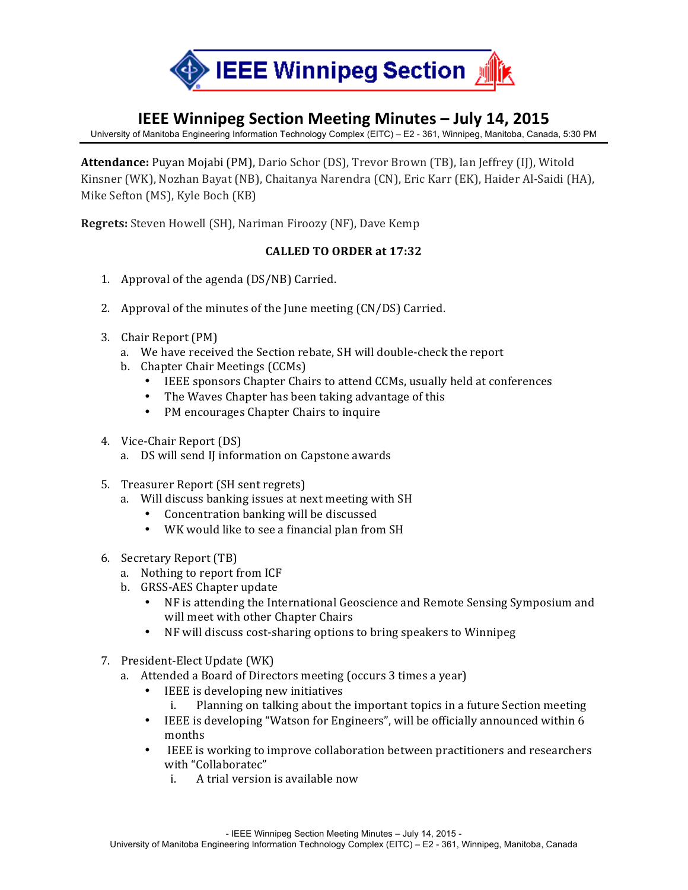

## **IEEE Winnipeg Section Meeting Minutes – July 14, 2015**

University of Manitoba Engineering Information Technology Complex (EITC) – E2 - 361, Winnipeg, Manitoba, Canada, 5:30 PM

**Attendance:** Puyan Mojabi (PM), Dario Schor (DS), Trevor Brown (TB), Ian Jeffrey (IJ), Witold Kinsner (WK), Nozhan Bayat (NB), Chaitanya Narendra (CN), Eric Karr (EK), Haider Al-Saidi (HA), Mike Sefton (MS), Kyle Boch (KB)

**Regrets:** Steven Howell (SH), Nariman Firoozy (NF), Dave Kemp

## **CALLED TO ORDER at 17:32**

- 1. Approval of the agenda (DS/NB) Carried.
- 2. Approval of the minutes of the June meeting (CN/DS) Carried.
- 3. Chair Report (PM)
	- a. We have received the Section rebate, SH will double-check the report
	- b. Chapter Chair Meetings (CCMs)
		- IEEE sponsors Chapter Chairs to attend CCMs, usually held at conferences
		- The Waves Chapter has been taking advantage of this
		- PM encourages Chapter Chairs to inquire
- 4. Vice-Chair Report (DS)
	- a. DS will send II information on Capstone awards
- 5. Treasurer Report (SH sent regrets)
	- a. Will discuss banking issues at next meeting with SH
		- Concentration banking will be discussed
		- WK would like to see a financial plan from SH
- 6. Secretary Report (TB)
	- a. Nothing to report from ICF
	- b. GRSS-AES Chapter update
		- NF is attending the International Geoscience and Remote Sensing Symposium and will meet with other Chapter Chairs
		- NF will discuss cost-sharing options to bring speakers to Winnipeg
- 7. President-Elect Update (WK)
	- a. Attended a Board of Directors meeting (occurs 3 times a year)
		- IEEE is developing new initiatives
			- i. Planning on talking about the important topics in a future Section meeting
		- IEEE is developing "Watson for Engineers", will be officially announced within 6 months
		- IEEE is working to improve collaboration between practitioners and researchers with "Collaboratec"
			- i. A trial version is available now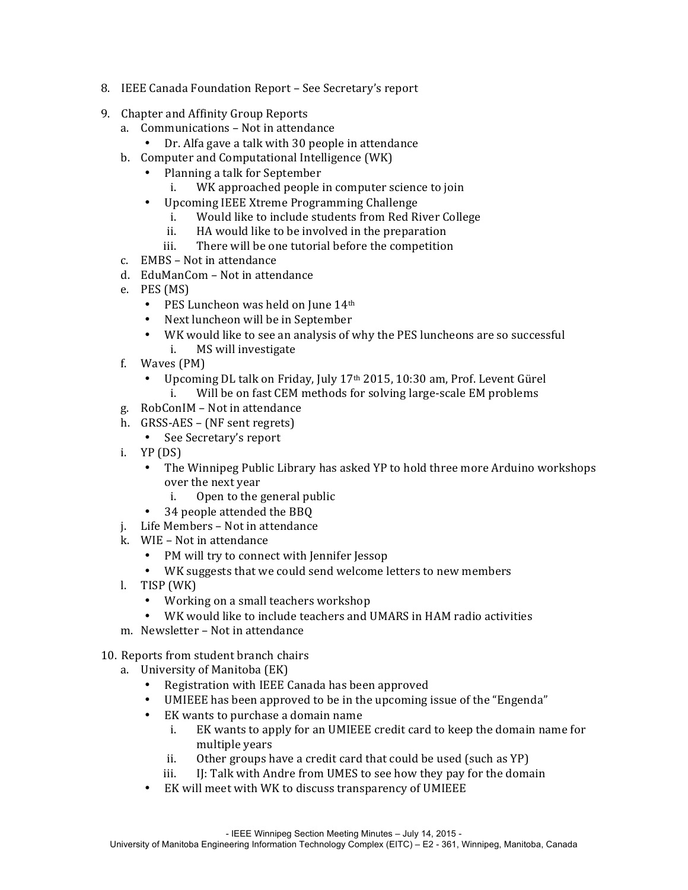- 8. IEEE Canada Foundation Report See Secretary's report
- 9. Chapter and Affinity Group Reports
	- a. Communications Not in attendance
		- Dr. Alfa gave a talk with 30 people in attendance
	- b. Computer and Computational Intelligence (WK)
		- Planning a talk for September
			- i. WK approached people in computer science to join
		- Upcoming IEEE Xtreme Programming Challenge
			- i. Would like to include students from Red River College
			- ii. HA would like to be involved in the preparation
			- iii. There will be one tutorial before the competition
	- c. EMBS Not in attendance
	- d. EduManCom Not in attendance
	- e. PES (MS)
		- PES Luncheon was held on June  $14<sup>th</sup>$
		- Next luncheon will be in September
		- WK would like to see an analysis of why the PES luncheons are so successful i. MS will investigate
	- f. Waves  $(PM)$ 
		- Upcoming DL talk on Friday, July 17<sup>th</sup> 2015, 10:30 am, Prof. Levent Gürel i. Will be on fast CEM methods for solving large-scale EM problems
	- g. RobConIM Not in attendance
	- h. GRSS-AES (NF sent regrets)
		- See Secretary's report
	- i.  $YP(DS)$ 
		- The Winnipeg Public Library has asked YP to hold three more Arduino workshops over the next year
			- i. Open to the general public
		- 34 people attended the BBQ
	- j. Life Members Not in attendance
	- k. WIE Not in attendance
		- PM will try to connect with Jennifer Jessop
		- WK suggests that we could send welcome letters to new members
	- l. TISP (WK)
		- Working on a small teachers workshop
		- WK would like to include teachers and UMARS in HAM radio activities
	- m. Newsletter Not in attendance
- 10. Reports from student branch chairs
	- a. University of Manitoba (EK)
		- Registration with IEEE Canada has been approved
		- UMIEEE has been approved to be in the upcoming issue of the "Engenda"
		- EK wants to purchase a domain name
			- i. EK wants to apply for an UMIEEE credit card to keep the domain name for multiple vears
			- ii. Other groups have a credit card that could be used  $\alpha$  (such as YP)
			- iii. IJ: Talk with Andre from UMES to see how they pay for the domain
		- EK will meet with WK to discuss transparency of UMIEEE